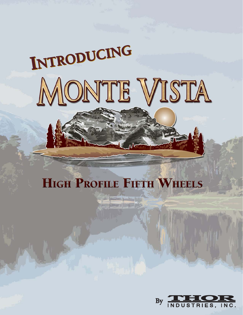# **INTRODUCING INTRODUCING** MONTE VISTA

## **HIGH PROFILE FIFTH WHEELS**

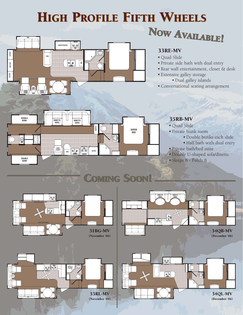## HIGH PROFILE FIFTH WHEELS NOW AVAILABLE!



#### 33RE-MV

- Ouad Slide
- Private side bath with dual entry
- Rear wall entertainment, closet & desk
- Extensive galley storage
	- Dual galley islands
- Conversational seating arrangement



#### 35RB-MV

- Quad Slide
- Private bunk room
	- Double bunks each slide
	- Half bath with dual entry
- Private bath/bed suite
- Double U-shaped sofa/dinette
- Sleeps 8 Feeds 8

## COMING SOON! COMING SOON!

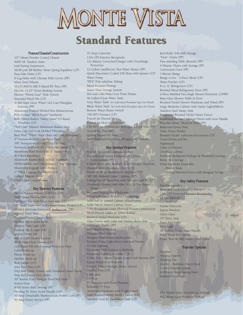## MONTE VISTA

### **Standard Features**

#### Frame/Chassis/Construction

10" I-Beam Powder Coated Chassis 6000 LB. Tandem Axles Leaf-Spring Suspension MOR-ryde RE Rubber Shear Spring Equalizer (CP) Easy-lube Hubs (CP) 8 Lug Hubs with Chrome Hub Covers (PP) Silver Steel Wheels ST235 80R16 LRE E-Rated RV Tires (PP) Electric 12.25" Drum Braking System Electric "Worm Gear" Slide System Extended Hitch Pin (CP) .6 Mil High Gloss "Filon" Gel Coat Fiberglass Exterior (PP) Aluminum Framed-Welded Box Infrastructure Poly-Styrene "Block Foam" Insulation 80% Tinted Radius "Safety Glass" UV-Rated Windows (CP) "Tuff Coat" Painted Aluminum Radius Skirt Front Cap: Gel-Coat Molded Fiberglass Rear Wall: "Filon" High Gloss Gel Coat Fiberglass 3" Vacuum-Bonded One-Piece Floor 3/8" Structurewood One-Piece Decking Enclosed, Insulated, Protected Underbelly (CP) Aluminum Roof Truss with 5" Tapered Box R14 Roof Insulation Aluminum Radius Roof to Wall Transition EPDM Rubber Roof Membrane-12 Year Warranty Aluminum Luggage Door Frames 1" Thick Luggage Door with Lock Lighted Baggage Areas

Ozite-Lined Compartment

#### Key Exterior Features

Deluxe "Quick Release" Pull Pins (CP) High Speed-Electric Front Jacks 16" Spare Tire with Silver Steel Rim (CP) 10" Tread Triple Steel Entry Steps-Frame Welded (CP) Molded Gel-Coat Gooseneck Radius Cap (PP) Lighted Entry Step Enclosed/Vented Battery Box Molded ABS Fender Wells Exterior Patio Light (CP) Exterior Hitch Light (CP) Gravity Water Fill Hot & Cold Shower System Black Tank Flush System (CP) City Water Fill with Locking Protective Door Cable Hook-up Phone Hook-up Satellite Hook-up Rear Ladder (CP) Attic Roof Vent (CP) Drip Rail Gutter System with Extended Gutter Spout Drip Rail Gutter Over Slides 30" Radius Entry Door & Dead Bolt Lock Screen Door 8500 Series A&E Awning (PP) Pivoting XL Entry Assist Handle (CP) 50 Amp Detachable Marine-Grade Power Cord (PP) 50 Amp Power Service (PP)

55 Amp Converter 110v GFI Exterior Receptacle 12v Battery Converter/Charger with Overcharge Protection 12 Gallon Gas/Electric Hot Water Heater (PP) Quick Disconnect Coiled 25ft Hose with Sprayer (CP) Water Pump "PEX" Poly-ethylene Tubing Metal Pressure Fittings Sewer Hose Storage System Hot and Cold Water Low Point Drains 46 Gallon Fresh Water Tank Gray Water Tank: See Individual Floorplan Specs for Details Black Water Tank: See Individual Floorplan Specs for Details Remote Water Heater Switch 35K BTU Furnace (CP) Forced Air Ducted Heat Forced Air Heat in Underbelly 15K BTU Air Conditioner with Quick Cool Vent (PP) Second AC Prep (PP) Ceiling Ducted AC Vents Mold Resistant/Aluminum-Wrapped AC Plenum

#### Key Interior Features

Interior Electrical Command Center Pre-drilled & Screwed Hardwood Cabinet Construction (PP) 6 Panel Doors with Brushed Nickel Designer Hardware Howard Miller Decorator Clock (CP) Premium 30 oz. Residential Carpeting (PP) 3/8" 6lb. Rebond Carpet Padding (PP) Ceiling Fan 42" Reversible with Halogen Light Kit (CP) Overhead Cabinets with Mini Stuts & Top Mount Hinges

Recessed Steps to Bath/Bedroom Formica Premium Textured Countertops Solid Ash & Stained Cabinet Stiles/Frames Solid Ash & Stained Cabinet Doors 7-Ply Residential-Grade Plywood Drawer Construction Metal Drawer Glides & Teflon Rollers Brushed Nickel Hardware (CP) Glass Inserts with Solid Ash Frames above Sofa Day/Night Shades (PP) Mini-Blinds in Kitchen Designer Hard Valance Designer Hard-Sided Lambrequins Pendant Dome Light above Sofa and Dinette 12 Volt Lighting Decorative Wall Sconces in Bedroom Florescent Lighting in Galley (CP) 5 Disc 5-in-1 Home Theater System with Remote (PP) Egress Window in Bedroom Domed, Tinted Skylight Above Shower Satellite Prep (CP) Cable Jack TV Prep TV Antenna with Power Booster Bedroom TV Prep Armstrong Linoleum with Tough Guard Solid Brushed Nickel Metal J-Faucet (CP) Stainless Steel XL Dual Basin Sink (CP)

Jack-Knife Sofa with Storage "Euro" Chairs (PP) Free-standing Table (Round) (PP) 4 Dinette Chairs with Storage (PP) Convection Oven (PP) 3-Burner Range Range Cover - 2-Piece Metal (CP) Water Purifier (CP) 8 cu. ft. Refrigerator (CP) Brushed Metal Refrigerator Door (PP) 2-Piece Marbled Neo-Angle Shower Enclosure (CP/PP) Rain-Glass Shower Walls & Door Brushed Nickel Shower Hardware and Wand (PP) Large Medicine Cabinet with Vanity Lights/Mirror Stainless Steel Vanity Sink Residential Brushed Nickel Vanity Faucet Residential Six-Panel Lavatory Doors with Lever Handle Porcelain Bowl, Thetford Toilet (PP) Bathroom Power Vent Toilet Tissue Holder Brushed Nickel Bathroom Accessories (CP) Towel Hooks and Bar Nightstand Chest of Drawers Overhead Cabinet Premium Bedspread Package & Window Coverings Below Bed Storage Front Wardrobe Ensemble: -Drawer Bank -Sliding Mirrored Doors with Hanging Storage

#### Key Safety Features

Fire Extinguisher Dead Bolt Locks on Entry Doors 120v GFI Protected Exterior Receptacles LP Gas Detector CO Detector Smoke Detectors Egress Window Safety Glass 10" Entry Step Entry Step Light Patio Light XL Folding Entry-Assist Handle Solid Wood Exit Handle Front, Rear & Side Amber Road Lights

#### Popular Options

Fireplace Awning Toppers Fantastic Fan 2nd AC - Bedroom Direct Feed Central Vacuum System MOR/ryde Shear Spring Hitch Washer/Dryer Prep

CP= Monte Vista Convenience Package PP= Monte Vista Premium Package